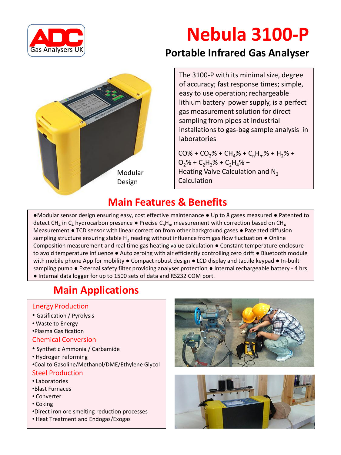

# **Nebula 3100-P**



### **Portable Infrared Gas Analyser**

The 3100-P with its minimal size, degree of accuracy; fast response times; simple, easy to use operation; rechargeable lithium battery power supply, is a perfect gas measurement solution for direct sampling from pipes at industrial installations to gas-bag sample analysis in laboratories

 $CO% + CO<sub>2</sub>% + CH<sub>4</sub>% + C<sub>n</sub>H<sub>m</sub>% + H<sub>2</sub>% +$  $O_2$ % + C<sub>2</sub>H<sub>2</sub>% + C<sub>2</sub>H<sub>4</sub>% + Heating Valve Calculation and N<sub>2</sub> Calculation

### **Main Features & Benefits**

•m Composition measurement and real time gas heating value calculation ● Constant temperature enclosure ●Modular sensor design ensuring easy, cost effective maintenance ● Up to 8 gases measured ● Patented to detect CH<sub>4</sub> in C<sub>4</sub> hydrocarbon presence  $\bullet$  Precise C<sub>n</sub>H<sub>m</sub> measurement with correction based on CH<sub>4</sub> Measurement ● TCD sensor with linear correction from other background gases ● Patented diffusion sampling structure ensuring stable H<sub>2</sub> reading without influence from gas flow fluctuation  $\bullet$  Online to avoid temperature influence ● Auto zeroing with air efficiently controlling zero drift ● Bluetooth module with mobile phone App for mobility  $\bullet$  Compact robust design  $\bullet$  LCD display and tactile keypad  $\bullet$  In-built sampling pump ● External safety filter providing analyser protection ● Internal rechargeable battery - 4 hrs ● Internal data logger for up to 1500 sets of data and RS232 COM port.

## **Main Applications**

#### Energy Production

- Gasification / Pyrolysis
- Waste to Energy
- •Plasma Gasification

#### Chemical Conversion

- Synthetic Ammonia / Carbamide
- Hydrogen reforming
- •Coal to Gasoline/Methanol/DME/Ethylene Glycol

#### Steel Production

- Laboratories
- •Blast Furnaces
- Converter
- Coking
- •Direct iron ore smelting reduction processes
- Heat Treatment and Endogas/Exogas